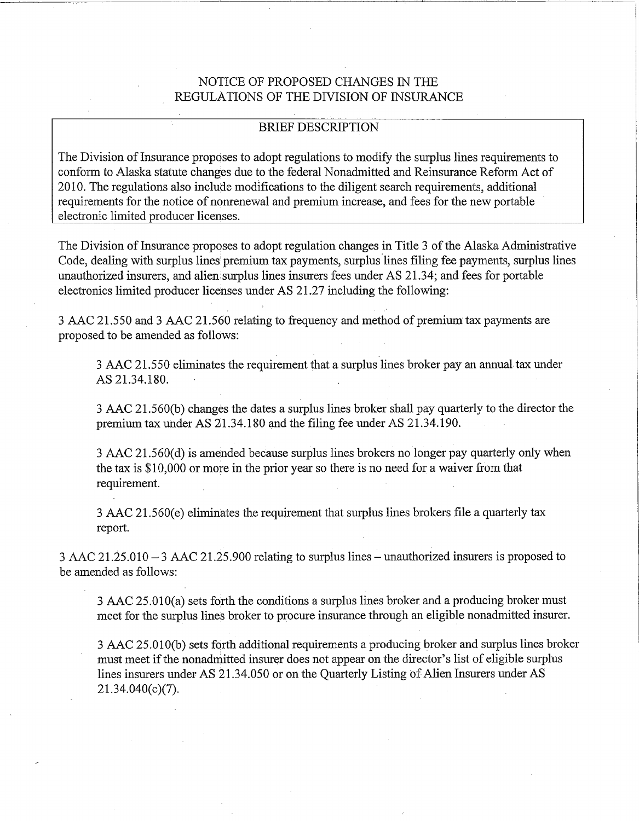# NOTICE OF PROPOSED CHANGES IN THE REGULATIONS OF THE DIVISION OF INSURANCE

## **BRIEF DESCRIPTION**

The Division of Insurance proposes to adopt regulations to modify the surplus lines requirements to conform to Alaska statute changes due to the federal Nonadmitted and Reinsurance Reform Act of 2010. The regulations also include modifications to the diligent search requirements, additional requirements for the notice of nonrenewal and premium increase, and fees for the new portable electronic limited producer licenses.

The Division of Insurance proposes to adopt regulation changes in Title 3 of the Alaska Administrative Code, dealing with surplus lines premium tax payments, surplus lines filing fee payments, surplus lines unauthorized insurers, and alien surplus lines insurers fees under AS 21.34; and fees for portable electronics limited producer licenses under AS 21.27 including the following:

3 AAC 21.550 and 3 AAC 21.560 relating to frequency and method of premium tax payments are proposed to be amended as follows:

3 AAC 21.550 eliminates the requirement that a surplus lines broker pay an annual tax under AS 21.34.180.

3 AAC 21.560(b) changes the dates a surplus lines broker shall pay quarterly to the director the premium tax under AS 21.34.180 and the filing fee under AS 21.34.190.

3 AAC 21.560(d) is amended because surplus lines brokers no longer pay quarterly only when the tax is \$10,000 or more in the prior year so there is no need for a waiver from that requirement.

3 AAC 21.560(e) eliminates the requirement that surplus lines brokers file a quarterly tax report.

 $3$  AAC  $21.25.010 - 3$  AAC  $21.25.900$  relating to surplus lines – unauthorized insurers is proposed to be amended as follows:

3 AAC 25.010(a) sets forth the conditions a surplus lines broker and a producing broker must meet for the surplus lines broker to procure insurance through an eligible nonadmitted insurer.

3 AAC 25.010(b) sets forth additional requirements a producing broker and surplus lines broker must meet if the nonadmitted insurer does not appear on the director's list of eligible surplus lines insurers under AS 21.34.050 or on the Quarterly Listing of Alien Insurers under AS  $21.34.040(c)(7)$ .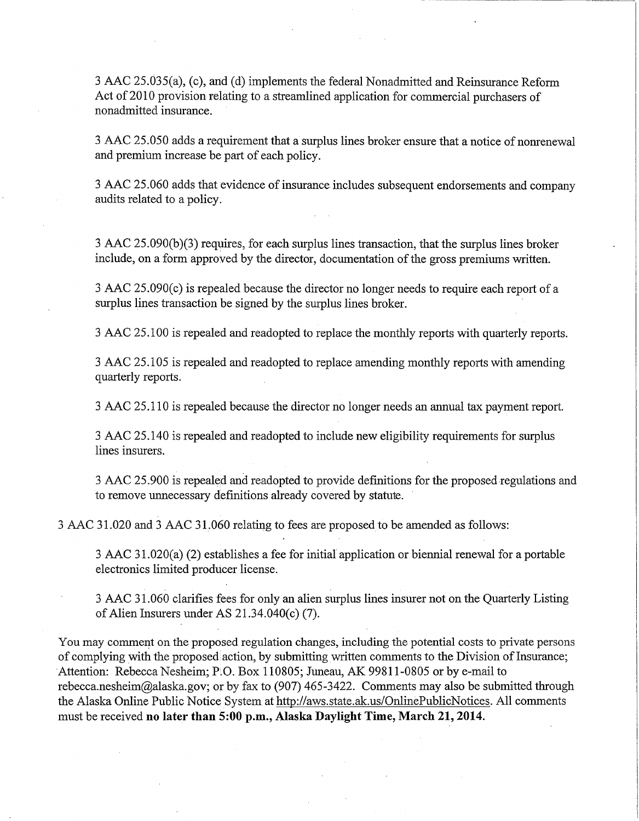3 AAC 25.035(a), (c), and (d) implements the federal Nonadmitted and Reinsurance Reform Act of 2010 provision relating to a streamlined application for commercial purchasers of nonadmitted insurance.

3 AAC 25.050 adds a requirement that a surplus lines broker ensure that a notice of nonrenewal and premium increase be part of each policy.

3 AAC 25.060 adds that evidence of insurance includes subsequent endorsements and company audits related to a policy.

3 AAC 25.090(b)(3) requires, for each surplus lines transaction, that the surplus lines broker include, on a form approved by the director, documentation of the gross premiums written.

3 AAC 25.090(c) is repealed because the director no longer needs to require each report of a surplus lines transaction be signed by the surplus lines broker.

3 AAC 25.100 is repealed and readopted to replace the monthly reports with quarterly reports.

3 AAC 25.105 is repealed and readopted to replace amending monthly reports with amending quarterly reports.

3 AAC 25.110 is repealed because the director no longer needs an annual tax payment report.

3 AAC 25.140 is repealed and readopted to include new eligibility requirements for surplus lines insurers.

3 AAC 25.900 is repealed and readopted to provide definitions for the proposed regulations and to remove unnecessary definitions already covered by statute.

3 AAC 31.020 and 3 AAC 31.060 relating to fees are proposed to be amended as follows:

3 AAC 31.020(a) (2) establishes a fee for initial application or biennial renewal for a portable electronics limited producer license.

3 AAC 31.060 clarifies fees for only an alien surplus lines insurer not on the Quarterly Listing of Alien Insurers under AS  $21.34.040(c)$  (7).

You may comment on the proposed regulation changes, including the potential costs to private persons of complying with the proposed action, by submitting written comments to the Division of Insurance; Attention: Rebecca Nesheim; P.O. Box 110805; Juneau, AK 99811-0805 or by e-mail to rebecca.nesheim@alaska.gov; or by fax to (907) 465-3422. Comments may also be submitted through the Alaska Online Public Notice System at http://aws.state.ak.us/OnlinePublicNotices. All comments must be received no later than 5:00 p.m., Alaska Daylight Time, March 21, 2014.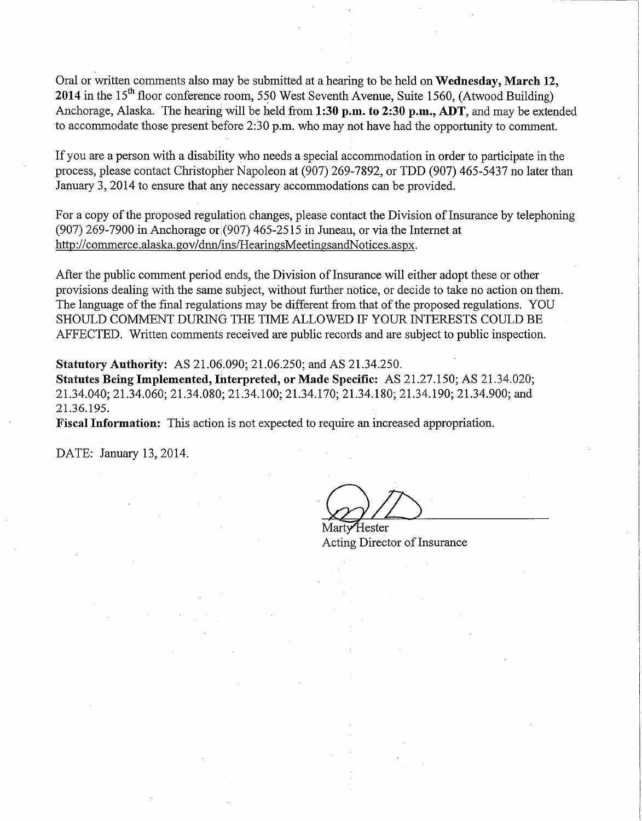Oral or written comments also may be submitted at a hearing to be held on Wednesday, March 12, 2014 in the  $15<sup>th</sup>$  floor conference room, 550 West Seventh Avenue, Suite 1560, (Atwood Building) Anchorage, Alaska. The hearing will be held from 1:30 p.m. to 2:30 p.m., ADT, and may be extended to accommodate those present before  $2:30$  p.m. who may not have had the opportunity to comment.

If you are a person with a disability who needs a special accommodation in order to participate in the process, please contact Christopher Napoleon at (907) 269-7892, or TDD (907) 465-5437 no later than January 3, 2014 to ensure that any necessary accommodations can be provided.

For a copy of the proposed regulation changes, please contact the Division of Insurance by telephoning  $(907)$  269-7900 in Anchorage or  $(907)$  465-2515 in Juneau, or via the Internet at http://commerce.alaska.gov/dnn/ins/HearingsMeetingsandNotices.aspx.

After the public comment period ends, the Division of Insurance will either adopt these or other provisions dealing with the same subject, without further notice, or decide to take no action on them. The language of the final regulations may be different from that of the proposed regulations. YOU SHOULD COMMENT DURING THE TIME ALLOWED IF YOUR INTERESTS COULD BE AFFECTED. Written comments received are public records and are subject to public inspection.

**Statutory Authority:** AS 21.06.090; 21.06.250; and AS 21.34.250.

Statutes Being Implemented, Interpreted, or Made Specific: AS 21.27.150; AS 21.34.020; 21.34.040; 21.34.060; 21.34.080; 21.34.100; 21.34.170; 21.34.180; 21.34.190; 21.34.900; and 21.36.195.

Fiscal Information: This action is not expected to require an increased appropriation.

DATE: January 13, 2014.

Martv Hester Acting Director of Insurance